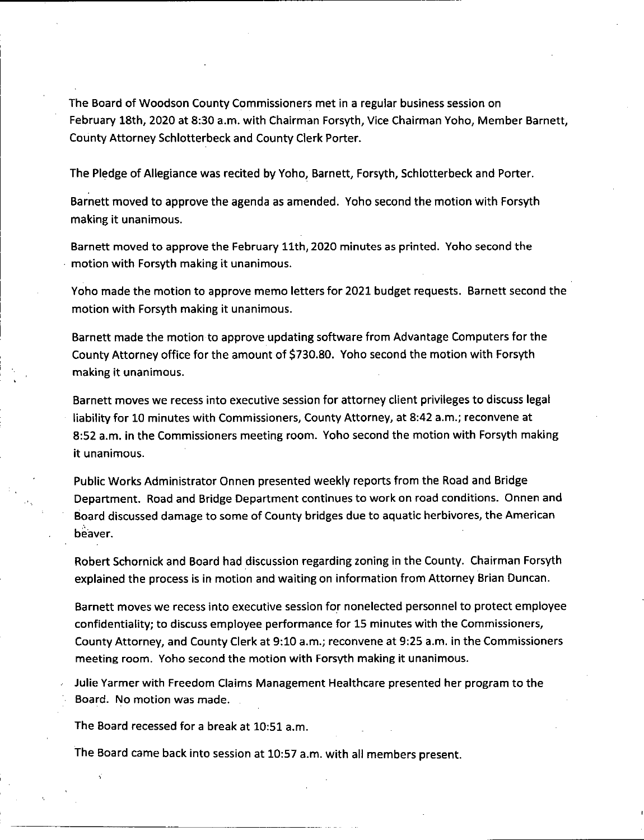The Board of Woodson County Commissioners met in a regular business session on February 18th, 2020 at 8:30 a.m. with Chairman Forsyth, Vice Chairman Yoho, Member Barnett, County Attorney Schlotterbeck and County Clerk Porter.

The Pledge of Allegiance was recited by Yoho, Barnett, Forsyth, Schlotterbeck and Porter.

Barnett moved to approve the agenda as amended. Yoho second the motion with Forsyth making it unanimous.

Barnett moved to approve the February 11th, 2020 minutes as printed. Yoho second the motion with Forsyth making it unanimous.

Yoho made the motion to approve memo letters for 2021 budget requests. Barnett second the motion with Forsyth making it unanimous.

Barnett made the motion to approve updating software from Advantage Computers for the County Attorney office for the amount of \$730.80. Yoho second the motion with Forsyth making it unanimous.

Barnett moves we recess into executive session for attorney client privileges to discuss legal liability for 10 minutes with Commissioners, County Attorney, at 8:42 a.m.; reconvene at 8:52 a.m. in the Commissioners meeting room. Yoho second the motion with Forsyth making it unanimous.

Public Works Administrator Onnen presented weekly reports from the Road and Bridge Department. Road and Bridge Department continues to work on road conditions. Onnen and Board discussed damage to some of County bridges due to aquatic herbivores, the American beaver.

Robert Schomick and Board had discussion regarding zoning in the County. Chairman Forsyth explained the process is in motion and waiting on information from Attorney Brian Duncan.

Barnett moves we recess into executive session for nonelected personnel to protect employee confidentiality; to discuss employee performance for 15 minutes with the Commissioners, County Attorney, and County Clerk at 9:10 a.m.; reconvene at 9:25 a.m. in the Commissioners meeting room. Yoho second the motion with Forsyth making it unanimous.

Julie Yarmer with Freedom Claims Management Healthcare presented her program to the Board. No motion was made.

The Board recessed for a break at 10:51 a.m.

The Board came back into session at 10:57 a.m. with all members present.